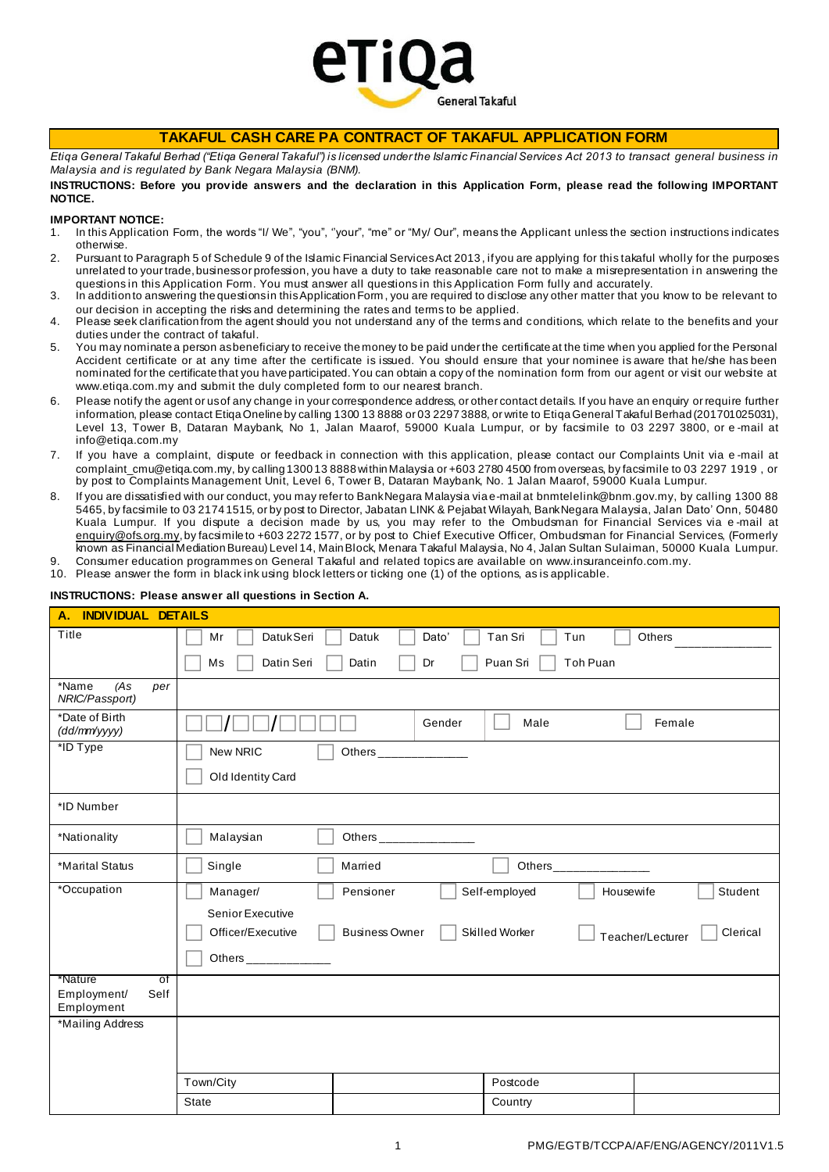

# **TAKAFUL CASH CARE PA CONTRACT OF TAKAFUL APPLICATION FORM**

*Etiqa General Takaful Berhad ("Etiqa General Takaful") is licensed under the Islamic Financial Services Act 2013 to transact general business in Malaysia and is regulated by Bank Negara Malaysia (BNM).*

### **INSTRUCTIONS: Before you prov ide answers and the declaration in this Application Form, please read the following IMPORTANT NOTICE.**

### **IMPORTANT NOTICE:**

- 1. In this Application Form, the words "I/ We", "you", ''your", "me" or "My/ Our", means the Applicant unless the section instructions indicates otherwise.
- 2. Pursuant to Paragraph 5 of Schedule 9 of the Islamic Financial Services Act 2013, if you are applying for this takaful wholly for the purposes unrelated to your trade, business or profession, you have a duty to take reasonable care not to make a misrepresentation i n answering the questions in this Application Form. You must answer all questions in this Application Form fully and accurately.
- 3. In addition to answering the questions in this Application Form , you are required to disclose any other matter that you know to be relevant to our decision in accepting the risks and determining the rates and terms to be applied.
- 4. Please seek clarification from the agent should you not understand any of the terms and conditions, which relate to the benefits and your duties under the contract of takaful.
- 5. You may nominate a person as beneficiary to receive the money to be paid under the certificate at the time when you applied for the Personal Accident certificate or at any time after the certificate is issued. You should ensure that your nominee is aware that he/she has been nominated for the certificate that you have participated. You can obtain a copy of the nomination form from our agent or visit our website at [www.etiqa.com.my](http://www.etiqa.com.my/) and submit the duly completed form to our nearest branch.
- 6. Please notify the agent or us of any change in your correspondence address, or other contact details. If you have an enquiry or require further information, please contact Etiqa Oneline by calling 1300 13 8888 or 03 2297 3888, or write to Etiqa General Takaful Berhad (201701025031), Level 13, Tower B, Dataran Maybank, No 1, Jalan Maarof, 59000 Kuala Lumpur, or by facsimile to 03 2297 3800, or e -mail at [info@etiqa.com.my](mailto:info@etiqa.com.my)
- 7. If you have a complaint, dispute or feedback in connection with this application, please contact our Complaints Unit via e -mail at complaint cmu@etiga.com.my, by calling 1300 13 8888 within Malaysia or +603 2780 4500 from overseas, by facsimile to 03 2297 1919 , or by post to Complaints Management Unit, Level 6, Tower B, Dataran Maybank, No. 1 Jalan Maarof, 59000 Kuala Lumpur.
- 8. If you are dissatisfied with our conduct, you may refer to Bank Negara Malaysia via e-mail at b[nmtelelink@bnm.gov.my,](mailto:bnmtelelink@bnm.gov.my) by calling 1300 88 5465, by facsimile to 03 2174 1515, or by post to Director, Jabatan LINK & Pejabat Wilayah, Bank Negara Malaysia, Jalan Dato' Onn, 50480 Kuala Lumpur. If you dispute a decision made by us, you may refer to the Ombudsman for Financial Services via e -mail at [enquiry@ofs.org.my](mailto:enquiry@ofs.org.my), by facsimile to +603 2272 1577, or by post to Chief Executive Officer, Ombudsman for Financial Services, (Formerly known as Financial Mediation Bureau) Level 14, Main Block, Menara Takaful Malaysia, No 4, Jalan Sultan Sulaiman, 50000 Kuala Lumpur.
- Consumer education programmes on General Takaful and related topics are availa[ble on www.insuranceinfo.co](http://www.insuranceinfo.com.my/)m.my. 10. Please answer the form in black ink using block letters or ticking one (1) of the options, as is applicable.

## **INSTRUCTIONS: Please answer all questions in Section A.**

| <b>INDIVIDUAL DETAILS</b><br>А.                    |                                                                                                                  |
|----------------------------------------------------|------------------------------------------------------------------------------------------------------------------|
| Title                                              | Mr<br><b>DatukSeri</b><br>Datuk<br>Dato'<br>Tan Sri<br>Tun<br>Others                                             |
|                                                    | Toh Puan<br>Ms<br>Datin Seri<br>Datin<br>Puan Sri<br>Dr                                                          |
| *Name<br>(As<br>per<br>NRIC/Passport)              |                                                                                                                  |
| *Date of Birth<br>(dd/mm'yyyy)                     | Gender<br>Male<br>Female                                                                                         |
| *ID Type                                           | New NRIC<br>Others _____________                                                                                 |
|                                                    | Old Identity Card                                                                                                |
| *ID Number                                         |                                                                                                                  |
| *Nationality                                       | Malaysian<br>Others ________________                                                                             |
| *Marital Status                                    | Single<br>Married<br>Others________________                                                                      |
| *Occupation                                        | Manager/<br>Pensioner<br>Self-employed<br>Student<br>Housewife                                                   |
|                                                    | Senior Executive<br><b>Business Owner</b><br>Skilled Worker<br>Clerical<br>Officer/Executive<br>Teacher/Lecturer |
|                                                    | Others ________________                                                                                          |
| *Nature<br>of<br>Employment/<br>Self<br>Employment |                                                                                                                  |
| *Mailing Address                                   |                                                                                                                  |
|                                                    |                                                                                                                  |
|                                                    | Town/City<br>Postcode                                                                                            |
|                                                    | <b>State</b><br>Country                                                                                          |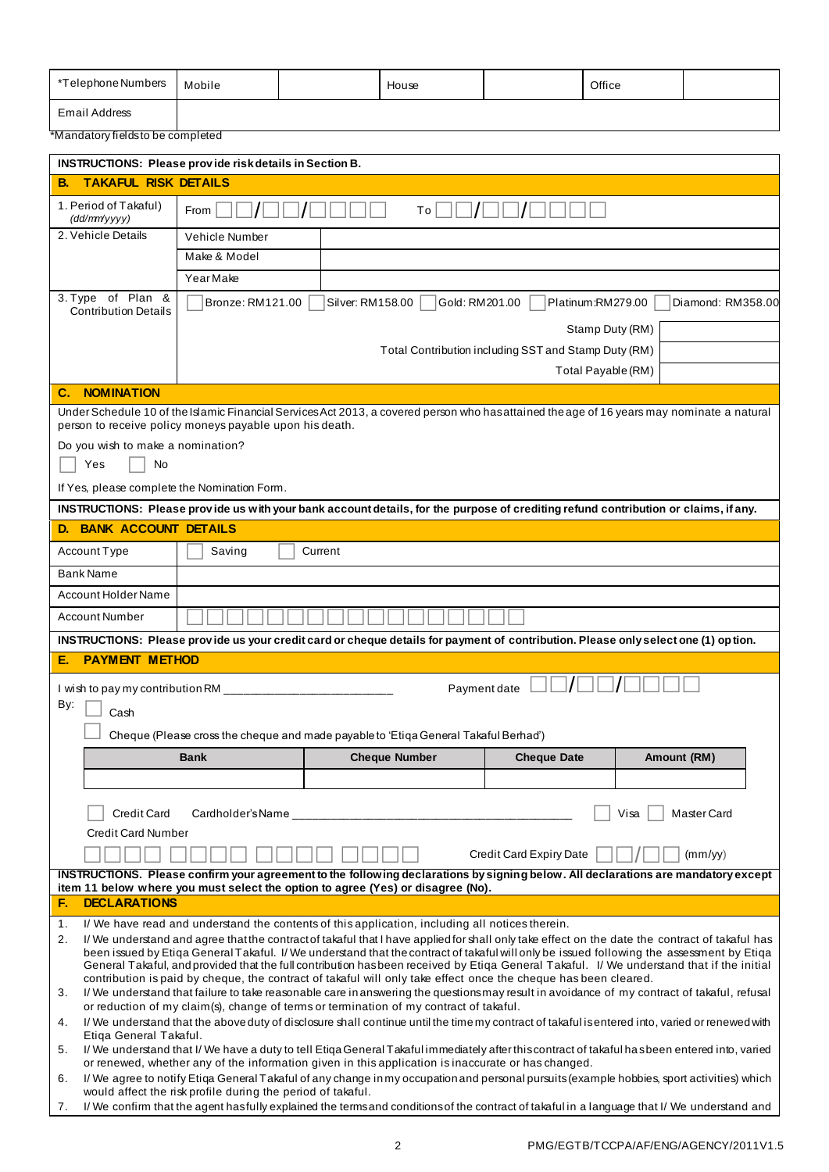| *Telephone Numbers | Mobile | House | Office |  |
|--------------------|--------|-------|--------|--|
| Email Address      |        |       |        |  |

\*Mandatory fields to be completed

| <b>TAKAFUL RISK DETAILS</b><br>В.                     |                                                             | <b>INSTRUCTIONS: Please provide risk details in Section B.</b>                                                                                                                                                                                                                            |                                                      |                     |  |  |  |  |  |
|-------------------------------------------------------|-------------------------------------------------------------|-------------------------------------------------------------------------------------------------------------------------------------------------------------------------------------------------------------------------------------------------------------------------------------------|------------------------------------------------------|---------------------|--|--|--|--|--|
|                                                       |                                                             |                                                                                                                                                                                                                                                                                           |                                                      |                     |  |  |  |  |  |
| 1. Period of Takaful)<br>(dd/mm/yyyy)                 | From                                                        | To                                                                                                                                                                                                                                                                                        |                                                      |                     |  |  |  |  |  |
| 2. Vehicle Details                                    | Vehicle Number                                              |                                                                                                                                                                                                                                                                                           |                                                      |                     |  |  |  |  |  |
|                                                       | Make & Model                                                |                                                                                                                                                                                                                                                                                           |                                                      |                     |  |  |  |  |  |
|                                                       | Year Make                                                   |                                                                                                                                                                                                                                                                                           |                                                      |                     |  |  |  |  |  |
| 3. Type of Plan &<br><b>Contribution Details</b>      | Bronze: RM121.00                                            | Gold: RM201.00<br>Silver: RM158.00                                                                                                                                                                                                                                                        | Platinum:RM279.00                                    | Diamond: RM358.00   |  |  |  |  |  |
|                                                       |                                                             |                                                                                                                                                                                                                                                                                           | Stamp Duty (RM)                                      |                     |  |  |  |  |  |
|                                                       |                                                             |                                                                                                                                                                                                                                                                                           | Total Contribution including SST and Stamp Duty (RM) |                     |  |  |  |  |  |
|                                                       |                                                             |                                                                                                                                                                                                                                                                                           | Total Payable (RM)                                   |                     |  |  |  |  |  |
| <b>NOMINATION</b><br>C.                               |                                                             |                                                                                                                                                                                                                                                                                           |                                                      |                     |  |  |  |  |  |
|                                                       | person to receive policy moneys payable upon his death.     | Under Schedule 10 of the Islamic Financial Services Act 2013, a covered person who has attained the age of 16 years may nominate a natural                                                                                                                                                |                                                      |                     |  |  |  |  |  |
| Do you wish to make a nomination?                     |                                                             |                                                                                                                                                                                                                                                                                           |                                                      |                     |  |  |  |  |  |
| <b>No</b><br>Yes                                      |                                                             |                                                                                                                                                                                                                                                                                           |                                                      |                     |  |  |  |  |  |
| If Yes, please complete the Nomination Form.          |                                                             |                                                                                                                                                                                                                                                                                           |                                                      |                     |  |  |  |  |  |
|                                                       |                                                             | INSTRUCTIONS: Please provide us with your bank account details, for the purpose of crediting refund contribution or claims, if any.                                                                                                                                                       |                                                      |                     |  |  |  |  |  |
| <b>D. BANK ACCOUNT DETAILS</b>                        |                                                             |                                                                                                                                                                                                                                                                                           |                                                      |                     |  |  |  |  |  |
| Account Type                                          | Saving                                                      | Current                                                                                                                                                                                                                                                                                   |                                                      |                     |  |  |  |  |  |
| <b>Bank Name</b>                                      |                                                             |                                                                                                                                                                                                                                                                                           |                                                      |                     |  |  |  |  |  |
| Account Holder Name                                   |                                                             |                                                                                                                                                                                                                                                                                           |                                                      |                     |  |  |  |  |  |
| <b>Account Number</b>                                 |                                                             |                                                                                                                                                                                                                                                                                           |                                                      |                     |  |  |  |  |  |
|                                                       |                                                             | INSTRUCTIONS: Please provide us your credit card or cheque details for payment of contribution. Please only select one (1) option.                                                                                                                                                        |                                                      |                     |  |  |  |  |  |
| <b>PAYMENT METHOD</b><br>Е.                           |                                                             |                                                                                                                                                                                                                                                                                           |                                                      |                     |  |  |  |  |  |
|                                                       |                                                             |                                                                                                                                                                                                                                                                                           |                                                      |                     |  |  |  |  |  |
| I wish to pay my contribution RM ____________________ |                                                             |                                                                                                                                                                                                                                                                                           |                                                      |                     |  |  |  |  |  |
| By:<br>Cash                                           |                                                             | Payment date                                                                                                                                                                                                                                                                              |                                                      |                     |  |  |  |  |  |
|                                                       |                                                             |                                                                                                                                                                                                                                                                                           |                                                      |                     |  |  |  |  |  |
|                                                       |                                                             | Cheque (Please cross the cheque and made payable to 'Etiqa General Takaful Berhad')                                                                                                                                                                                                       |                                                      |                     |  |  |  |  |  |
|                                                       | <b>Bank</b>                                                 | <b>Cheque Number</b>                                                                                                                                                                                                                                                                      | <b>Cheque Date</b>                                   | Amount (RM)         |  |  |  |  |  |
|                                                       |                                                             |                                                                                                                                                                                                                                                                                           |                                                      |                     |  |  |  |  |  |
| <b>Credit Card</b>                                    | Cardholder's Name                                           |                                                                                                                                                                                                                                                                                           |                                                      | Visa<br>Master Card |  |  |  |  |  |
| <b>Credit Card Number</b>                             |                                                             |                                                                                                                                                                                                                                                                                           |                                                      |                     |  |  |  |  |  |
|                                                       |                                                             |                                                                                                                                                                                                                                                                                           | Credit Card Expiry Date                              | (mm/vy)             |  |  |  |  |  |
|                                                       |                                                             | INSTRUCTIONS. Please confirm your agreement to the following declarations by signing below. All declarations are mandatory except                                                                                                                                                         |                                                      |                     |  |  |  |  |  |
|                                                       |                                                             | item 11 below where you must select the option to agree (Yes) or disagree (No).                                                                                                                                                                                                           |                                                      |                     |  |  |  |  |  |
| <b>DECLARATIONS</b><br>Е.                             |                                                             |                                                                                                                                                                                                                                                                                           |                                                      |                     |  |  |  |  |  |
| 1.                                                    |                                                             | I/We have read and understand the contents of this application, including all notices therein.                                                                                                                                                                                            |                                                      |                     |  |  |  |  |  |
| 2.                                                    |                                                             | I/We understand and agree that the contract of takaful that I have applied for shall only take effect on the date the contract of takaful has<br>been issued by Etiqa General Takaful. I/We understand that the contract of takaful will only be issued following the assessment by Etiqa |                                                      |                     |  |  |  |  |  |
|                                                       |                                                             | General Takaful, and provided that the full contribution has been received by Etiqa General Takaful. I/ We understand that if the initial                                                                                                                                                 |                                                      |                     |  |  |  |  |  |
| 3.                                                    |                                                             | contribution is paid by cheque, the contract of takaful will only take effect once the cheque has been cleared.<br>I/We understand that failure to take reasonable care in answering the questions may result in avoidance of my contract of takaful, refusal                             |                                                      |                     |  |  |  |  |  |
| 4.                                                    |                                                             | or reduction of my claim(s), change of terms or termination of my contract of takaful.<br>I/We understand that the above duty of disclosure shall continue until the time my contract of takaful is entered into, varied or renewed with                                                  |                                                      |                     |  |  |  |  |  |
| Etiga General Takaful.<br>5.                          |                                                             | I/We understand that I/We have a duty to tell Etiga General Takaful immediately after this contract of takaful has been entered into, varied                                                                                                                                              |                                                      |                     |  |  |  |  |  |
|                                                       |                                                             | or renewed, whether any of the information given in this application is inaccurate or has changed.                                                                                                                                                                                        |                                                      |                     |  |  |  |  |  |
| 6.<br>7.                                              | would affect the risk profile during the period of takaful. | I/We agree to notify Etiqa General Takaful of any change in my occupation and personal pursuits (example hobbies, sport activities) which<br>I/We confirm that the agent hasfully explained the terms and conditions of the contract of takaful in a language that I/We understand and    |                                                      |                     |  |  |  |  |  |